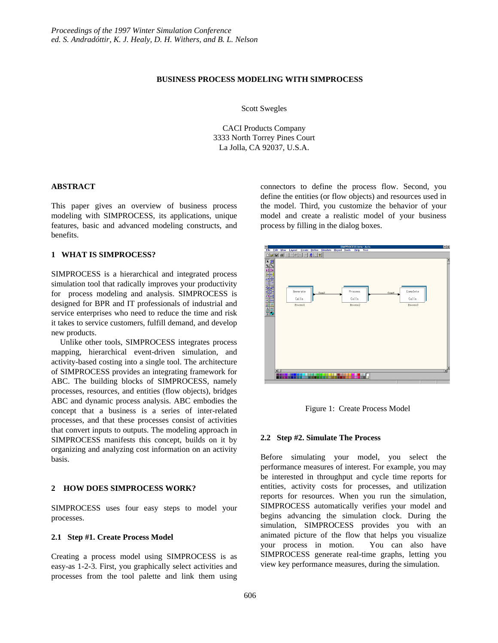# **BUSINESS PROCESS MODELING WITH SIMPROCESS**

Scott Swegles

CACI Products Company 3333 North Torrey Pines Court La Jolla, CA 92037, U.S.A.

# **ABSTRACT**

This paper gives an overview of business process modeling with SIMPROCESS, its applications, unique features, basic and advanced modeling constructs, and benefits.

# **1 WHAT IS SIMPROCESS?**

SIMPROCESS is a hierarchical and integrated process simulation tool that radically improves your productivity for process modeling and analysis. SIMPROCESS is designed for BPR and IT professionals of industrial and service enterprises who need to reduce the time and risk it takes to service customers, fulfill demand, and develop new products.

Unlike other tools, SIMPROCESS integrates process mapping, hierarchical event-driven simulation, and activity-based costing into a single tool. The architecture of SIMPROCESS provides an integrating framework for ABC. The building blocks of SIMPROCESS, namely processes, resources, and entities (flow objects), bridges ABC and dynamic process analysis. ABC embodies the concept that a business is a series of inter-related processes, and that these processes consist of activities that convert inputs to outputs. The modeling approach in SIMPROCESS manifests this concept, builds on it by organizing and analyzing cost information on an activity basis.

#### **2 HOW DOES SIMPROCESS WORK?**

SIMPROCESS uses four easy steps to model your processes.

### **2.1 Step #1. Create Process Model**

Creating a process model using SIMPROCESS is as easy-as 1-2-3. First, you graphically select activities and processes from the tool palette and link them using

connectors to define the process flow. Second, you define the entities (or flow objects) and resources used in the model. Third, you customize the behavior of your model and create a realistic model of your business process by filling in the dialog boxes.



Figure 1: Create Process Model

# **2.2 Step #2. Simulate The Process**

Before simulating your model, you select the performance measures of interest. For example, you may be interested in throughput and cycle time reports for entities, activity costs for processes, and utilization reports for resources. When you run the simulation, SIMPROCESS automatically verifies your model and begins advancing the simulation clock. During the simulation, SIMPROCESS provides you with an animated picture of the flow that helps you visualize your process in motion. You can also have SIMPROCESS generate real-time graphs, letting you view key performance measures, during the simulation.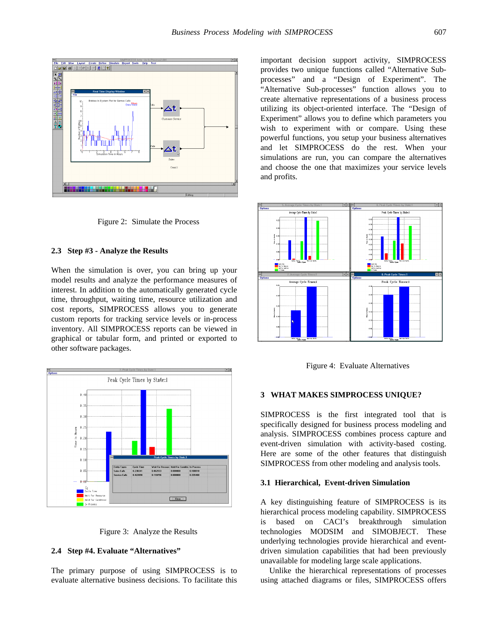

Figure 2: Simulate the Process

#### **2.3 Step #3 - Analyze the Results**

When the simulation is over, you can bring up your model results and analyze the performance measures of interest. In addition to the automatically generated cycle time, throughput, waiting time, resource utilization and cost reports, SIMPROCESS allows you to generate custom reports for tracking service levels or in-process inventory. All SIMPROCESS reports can be viewed in graphical or tabular form, and printed or exported to other software packages.





#### **2.4 Step #4. Evaluate "Alternatives"**

The primary purpose of using SIMPROCESS is to evaluate alternative business decisions. To facilitate this

important decision support activity, SIMPROCESS provides two unique functions called "Alternative Subprocesses" and a "Design of Experiment". The "Alternative Sub-processes" function allows you to create alternative representations of a business process utilizing its object-oriented interface. The "Design of Experiment" allows you to define which parameters you wish to experiment with or compare. Using these powerful functions, you setup your business alternatives and let SIMPROCESS do the rest. When your simulations are run, you can compare the alternatives and choose the one that maximizes your service levels and profits.



Figure 4: Evaluate Alternatives

#### **3 WHAT MAKES SIMPROCESS UNIQUE?**

SIMPROCESS is the first integrated tool that is specifically designed for business process modeling and analysis. SIMPROCESS combines process capture and event-driven simulation with activity-based costing. Here are some of the other features that distinguish SIMPROCESS from other modeling and analysis tools.

### **3.1 Hierarchical, Event-driven Simulation**

A key distinguishing feature of SIMPROCESS is its hierarchical process modeling capability. SIMPROCESS is based on CACI's breakthrough simulation technologies MODSIM and SIMOBJECT. These underlying technologies provide hierarchical and eventdriven simulation capabilities that had been previously unavailable for modeling large scale applications.

Unlike the hierarchical representations of processes using attached diagrams or files, SIMPROCESS offers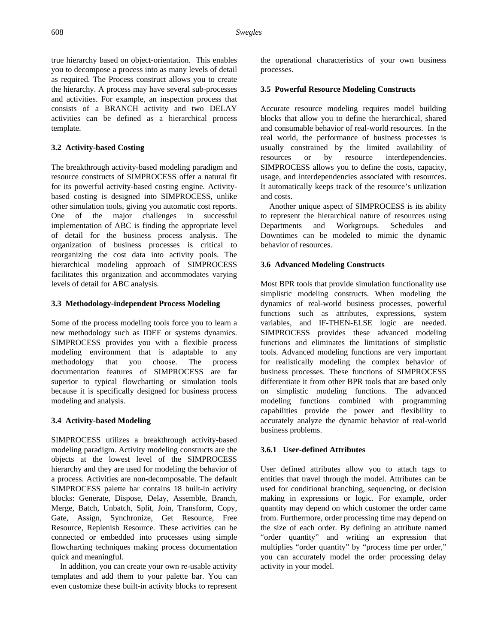true hierarchy based on object-orientation. This enables you to decompose a process into as many levels of detail as required. The Process construct allows you to create the hierarchy. A process may have several sub-processes and activities. For example, an inspection process that consists of a BRANCH activity and two DELAY activities can be defined as a hierarchical process template.

# **3.2 Activity-based Costing**

The breakthrough activity-based modeling paradigm and resource constructs of SIMPROCESS offer a natural fit for its powerful activity-based costing engine. Activitybased costing is designed into SIMPROCESS, unlike other simulation tools, giving you automatic cost reports. One of the major challenges in successful implementation of ABC is finding the appropriate level of detail for the business process analysis. The organization of business processes is critical to reorganizing the cost data into activity pools. The hierarchical modeling approach of SIMPROCESS facilitates this organization and accommodates varying levels of detail for ABC analysis.

### **3.3 Methodology-independent Process Modeling**

Some of the process modeling tools force you to learn a new methodology such as IDEF or systems dynamics. SIMPROCESS provides you with a flexible process modeling environment that is adaptable to any methodology that you choose. The process documentation features of SIMPROCESS are far superior to typical flowcharting or simulation tools because it is specifically designed for business process modeling and analysis.

# **3.4 Activity-based Modeling**

SIMPROCESS utilizes a breakthrough activity-based modeling paradigm. Activity modeling constructs are the objects at the lowest level of the SIMPROCESS hierarchy and they are used for modeling the behavior of a process. Activities are non-decomposable. The default SIMPROCESS palette bar contains 18 built-in activity blocks: Generate, Dispose, Delay, Assemble, Branch, Merge, Batch, Unbatch, Split, Join, Transform, Copy, Gate, Assign, Synchronize, Get Resource, Free Resource, Replenish Resource. These activities can be connected or embedded into processes using simple flowcharting techniques making process documentation quick and meaningful.

In addition, you can create your own re-usable activity templates and add them to your palette bar. You can even customize these built-in activity blocks to represent the operational characteristics of your own business processes.

### **3.5 Powerful Resource Modeling Constructs**

Accurate resource modeling requires model building blocks that allow you to define the hierarchical, shared and consumable behavior of real-world resources. In the real world, the performance of business processes is usually constrained by the limited availability of resources or by resource interdependencies. SIMPROCESS allows you to define the costs, capacity, usage, and interdependencies associated with resources. It automatically keeps track of the resource's utilization and costs.

Another unique aspect of SIMPROCESS is its ability to represent the hierarchical nature of resources using Departments and Workgroups. Schedules and Downtimes can be modeled to mimic the dynamic behavior of resources.

### **3.6 Advanced Modeling Constructs**

Most BPR tools that provide simulation functionality use simplistic modeling constructs. When modeling the dynamics of real-world business processes, powerful functions such as attributes, expressions, system variables, and IF-THEN-ELSE logic are needed. SIMPROCESS provides these advanced modeling functions and eliminates the limitations of simplistic tools. Advanced modeling functions are very important for realistically modeling the complex behavior of business processes. These functions of SIMPROCESS differentiate it from other BPR tools that are based only on simplistic modeling functions. The advanced modeling functions combined with programming capabilities provide the power and flexibility to accurately analyze the dynamic behavior of real-world business problems.

### **3.6.1 User-defined Attributes**

User defined attributes allow you to attach tags to entities that travel through the model. Attributes can be used for conditional branching, sequencing, or decision making in expressions or logic. For example, order quantity may depend on which customer the order came from. Furthermore, order processing time may depend on the size of each order. By defining an attribute named "order quantity" and writing an expression that multiplies "order quantity" by "process time per order," you can accurately model the order processing delay activity in your model.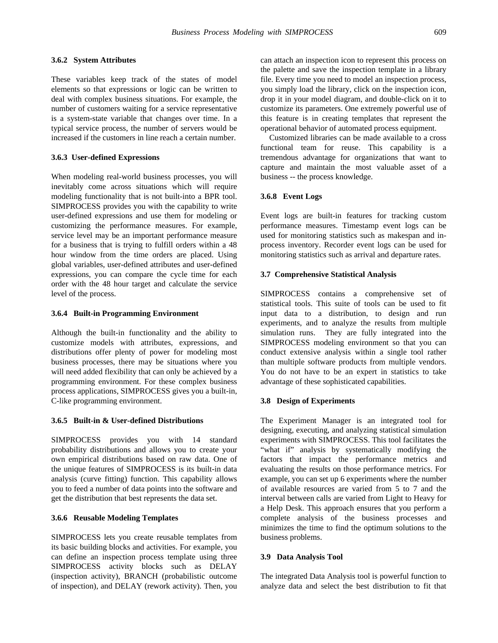# **3.6.2 System Attributes**

These variables keep track of the states of model elements so that expressions or logic can be written to deal with complex business situations. For example, the number of customers waiting for a service representative is a system-state variable that changes over time. In a typical service process, the number of servers would be increased if the customers in line reach a certain number.

### **3.6.3 User-defined Expressions**

When modeling real-world business processes, you will inevitably come across situations which will require modeling functionality that is not built-into a BPR tool. SIMPROCESS provides you with the capability to write user-defined expressions and use them for modeling or customizing the performance measures. For example, service level may be an important performance measure for a business that is trying to fulfill orders within a 48 hour window from the time orders are placed. Using global variables, user-defined attributes and user-defined expressions, you can compare the cycle time for each order with the 48 hour target and calculate the service level of the process.

#### **3.6.4 Built-in Programming Environment**

Although the built-in functionality and the ability to customize models with attributes, expressions, and distributions offer plenty of power for modeling most business processes, there may be situations where you will need added flexibility that can only be achieved by a programming environment. For these complex business process applications, SIMPROCESS gives you a built-in, C-like programming environment.

# **3.6.5 Built-in & User-defined Distributions**

SIMPROCESS provides you with 14 standard probability distributions and allows you to create your own empirical distributions based on raw data. One of the unique features of SIMPROCESS is its built-in data analysis (curve fitting) function. This capability allows you to feed a number of data points into the software and get the distribution that best represents the data set.

### **3.6.6 Reusable Modeling Templates**

SIMPROCESS lets you create reusable templates from its basic building blocks and activities. For example, you can define an inspection process template using three SIMPROCESS activity blocks such as DELAY (inspection activity), BRANCH (probabilistic outcome of inspection), and DELAY (rework activity). Then, you

can attach an inspection icon to represent this process on the palette and save the inspection template in a library file. Every time you need to model an inspection process, you simply load the library, click on the inspection icon, drop it in your model diagram, and double-click on it to customize its parameters. One extremely powerful use of this feature is in creating templates that represent the operational behavior of automated process equipment.

Customized libraries can be made available to a cross functional team for reuse. This capability is a tremendous advantage for organizations that want to capture and maintain the most valuable asset of a business -- the process knowledge.

### **3.6.8 Event Logs**

Event logs are built-in features for tracking custom performance measures. Timestamp event logs can be used for monitoring statistics such as makespan and inprocess inventory. Recorder event logs can be used for monitoring statistics such as arrival and departure rates.

#### **3.7 Comprehensive Statistical Analysis**

SIMPROCESS contains a comprehensive set of statistical tools. This suite of tools can be used to fit input data to a distribution, to design and run experiments, and to analyze the results from multiple simulation runs. They are fully integrated into the SIMPROCESS modeling environment so that you can conduct extensive analysis within a single tool rather than multiple software products from multiple vendors. You do not have to be an expert in statistics to take advantage of these sophisticated capabilities.

#### **3.8 Design of Experiments**

The Experiment Manager is an integrated tool for designing, executing, and analyzing statistical simulation experiments with SIMPROCESS. This tool facilitates the "what if" analysis by systematically modifying the factors that impact the performance metrics and evaluating the results on those performance metrics. For example, you can set up 6 experiments where the number of available resources are varied from 5 to 7 and the interval between calls are varied from Light to Heavy for a Help Desk. This approach ensures that you perform a complete analysis of the business processes and minimizes the time to find the optimum solutions to the business problems.

### **3.9 Data Analysis Tool**

The integrated Data Analysis tool is powerful function to analyze data and select the best distribution to fit that